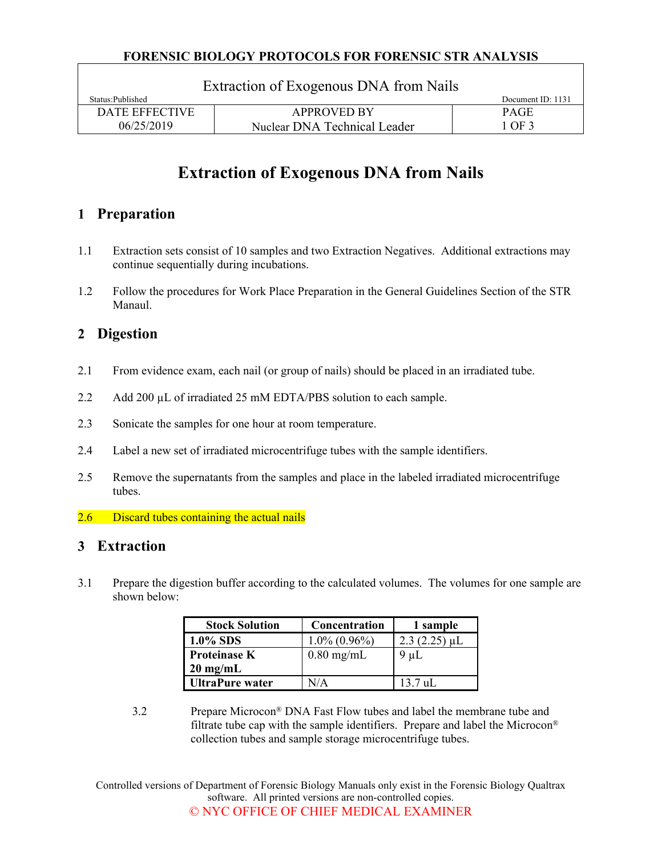#### **FORENSIC BIOLOGY PROTOCOLS FOR FORENSIC STR ANALYSIS**

| Extraction of Exogenous DNA from Nails |                              |                   |  |  |  |  |
|----------------------------------------|------------------------------|-------------------|--|--|--|--|
| Status: Published                      |                              | Document ID: 1131 |  |  |  |  |
| <b>DATE EFFECTIVE</b>                  | <b>APPROVED BY</b>           | <b>PAGE</b>       |  |  |  |  |
| 06/25/2019                             | Nuclear DNA Technical Leader | 1 OF 3            |  |  |  |  |

# **Extraction of Exogenous DNA from Nails**

# **1 Preparation**

- 1.1 Extraction sets consist of 10 samples and two Extraction Negatives. Additional extractions may continue sequentially during incubations.
- 1.2 Follow the procedures for Work Place Preparation in the General Guidelines Section of the STR Manaul.

# **2 Digestion**

- 2.1 From evidence exam, each nail (or group of nails) should be placed in an irradiated tube.
- 2.2 Add 200 µL of irradiated 25 mM EDTA/PBS solution to each sample.
- 2.3 Sonicate the samples for one hour at room temperature.
- 2.4 Label a new set of irradiated microcentrifuge tubes with the sample identifiers.
- 2.5 Remove the supernatants from the samples and place in the labeled irradiated microcentrifuge tubes.
- 2.6 Discard tubes containing the actual nails

### **3 Extraction**

3.1 Prepare the digestion buffer according to the calculated volumes. The volumes for one sample are shown below:

| <b>Stock Solution</b>  | Concentration   | 1 sample       |  |
|------------------------|-----------------|----------------|--|
| 1.0% SDS               | $1.0\%$ (0.96%) | $2.3(2.25)$ µL |  |
| <b>Proteinase K</b>    | $0.80$ mg/mL    | $9 \mu L$      |  |
| $20 \text{ mg/mL}$     |                 |                |  |
| <b>UltraPure water</b> | N/A             | $13.7$ uL      |  |

3.2 Prepare Microcon® DNA Fast Flow tubes and label the membrane tube and filtrate tube cap with the sample identifiers. Prepare and label the Microcon® collection tubes and sample storage microcentrifuge tubes.

Controlled versions of Department of Forensic Biology Manuals only exist in the Forensic Biology Qualtrax software. All printed versions are non-controlled copies. © NYC OFFICE OF CHIEF MEDICAL EXAMINER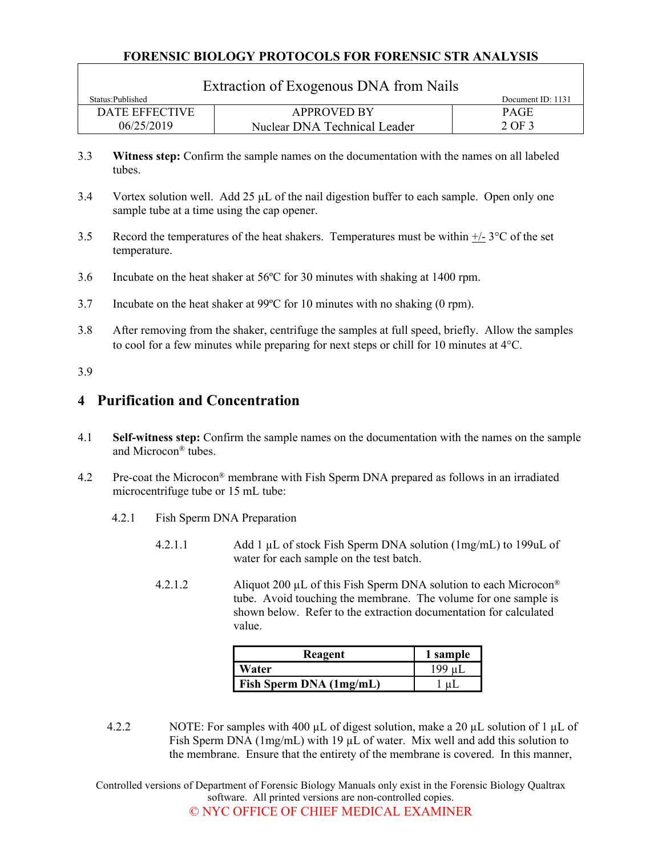#### **FORENSIC BIOLOGY PROTOCOLS FOR FORENSIC STR ANALYSIS**

| Extraction of Exogenous DNA from Nails |                              |                   |  |  |  |  |  |
|----------------------------------------|------------------------------|-------------------|--|--|--|--|--|
| Status: Published                      |                              | Document ID: 1131 |  |  |  |  |  |
| DATE EFFECTIVE                         | <b>APPROVED BY</b>           | <b>PAGE</b>       |  |  |  |  |  |
| 06/25/2019                             | Nuclear DNA Technical Leader | 2 OF 3            |  |  |  |  |  |

- 3.3 **Witness step:** Confirm the sample names on the documentation with the names on all labeled tubes.
- 3.4 Vortex solution well. Add 25 µL of the nail digestion buffer to each sample. Open only one sample tube at a time using the cap opener.
- 3.5 Record the temperatures of the heat shakers. Temperatures must be within  $\pm/2$  °C of the set temperature.
- 3.6 Incubate on the heat shaker at 56ºC for 30 minutes with shaking at 1400 rpm.
- 3.7 Incubate on the heat shaker at 99ºC for 10 minutes with no shaking (0 rpm).
- 3.8 After removing from the shaker, centrifuge the samples at full speed, briefly. Allow the samples to cool for a few minutes while preparing for next steps or chill for 10 minutes at  $4^{\circ}$ C.

#### 3.9

### **4 Purification and Concentration**

- 4.1 **Self-witness step:** Confirm the sample names on the documentation with the names on the sample and Microcon® tubes.
- 4.2 Pre-coat the Microcon® membrane with Fish Sperm DNA prepared as follows in an irradiated microcentrifuge tube or 15 mL tube:
	- 4.2.1 Fish Sperm DNA Preparation
		- 4.2.1.1 Add 1 µL of stock Fish Sperm DNA solution (1mg/mL) to 199uL of water for each sample on the test batch.
		- 4.2.1.2 Aliquot 200 µL of this Fish Sperm DNA solution to each Microcon<sup>®</sup> tube. Avoid touching the membrane. The volume for one sample is shown below. Refer to the extraction documentation for calculated value.

| Reagent                 | 1 sample |
|-------------------------|----------|
| Water                   | 199 uL   |
| Fish Sperm DNA (1mg/mL) |          |

4.2.2 NOTE: For samples with 400  $\mu$ L of digest solution, make a 20  $\mu$ L solution of 1  $\mu$ L of Fish Sperm DNA (1mg/mL) with 19  $\mu$ L of water. Mix well and add this solution to the membrane. Ensure that the entirety of the membrane is covered. In this manner,

Controlled versions of Department of Forensic Biology Manuals only exist in the Forensic Biology Qualtrax software. All printed versions are non-controlled copies. © NYC OFFICE OF CHIEF MEDICAL EXAMINER